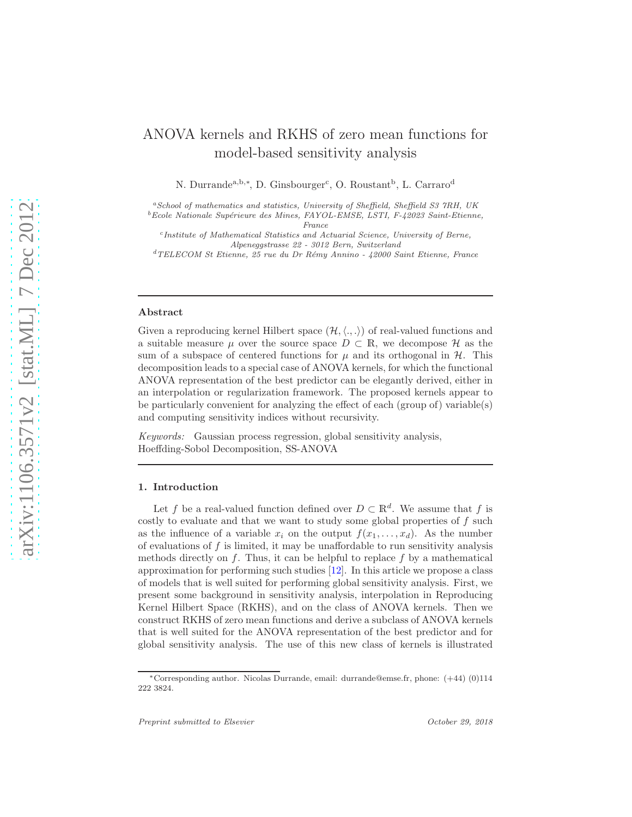# ANOVA kernels and RKHS of zero mean functions for model-based sensitivity analysis

N. Durrande<sup>a,b,\*</sup>, D. Ginsbourger<sup>c</sup>, O. Roustant<sup>b</sup>, L. Carraro<sup>d</sup>

 ${}^aS$ chool of mathematics and statistics, University of Sheffield, Sheffield S3 7RH, UK

 ${}^{b}$  Ecole Nationale Supérieure des Mines, FAYOL-EMSE, LSTI, F-42023 Saint-Etienne, France

c Institute of Mathematical Statistics and Actuarial Science, University of Berne, Alpeneggstrasse 22 - 3012 Bern, Switzerland

 $d$ TELECOM St Etienne, 25 rue du Dr Rémy Annino - 42000 Saint Etienne, France

#### Abstract

Given a reproducing kernel Hilbert space  $(\mathcal{H}, \langle ., .\rangle)$  of real-valued functions and a suitable measure  $\mu$  over the source space  $D \subset \mathbb{R}$ , we decompose  $\mathcal H$  as the sum of a subspace of centered functions for  $\mu$  and its orthogonal in  $\mathcal{H}$ . This decomposition leads to a special case of ANOVA kernels, for which the functional ANOVA representation of the best predictor can be elegantly derived, either in an interpolation or regularization framework. The proposed kernels appear to be particularly convenient for analyzing the effect of each (group of) variable(s) and computing sensitivity indices without recursivity.

Keywords: Gaussian process regression, global sensitivity analysis, Hoeffding-Sobol Decomposition, SS-ANOVA

### 1. Introduction

Let f be a real-valued function defined over  $D \subset \mathbb{R}^d$ . We assume that f is costly to evaluate and that we want to study some global properties of  $f$  such as the influence of a variable  $x_i$  on the output  $f(x_1, \ldots, x_d)$ . As the number of evaluations of  $f$  is limited, it may be unaffordable to run sensitivity analysis methods directly on  $f$ . Thus, it can be helpful to replace  $f$  by a mathematical approximation for performing such studies [\[12\]](#page-16-0). In this article we propose a class of models that is well suited for performing global sensitivity analysis. First, we present some background in sensitivity analysis, interpolation in Reproducing Kernel Hilbert Space (RKHS), and on the class of ANOVA kernels. Then we construct RKHS of zero mean functions and derive a subclass of ANOVA kernels that is well suited for the ANOVA representation of the best predictor and for global sensitivity analysis. The use of this new class of kernels is illustrated

<sup>∗</sup>Corresponding author. Nicolas Durrande, email: durrande@emse.fr, phone: (+44) (0)114 222 3824.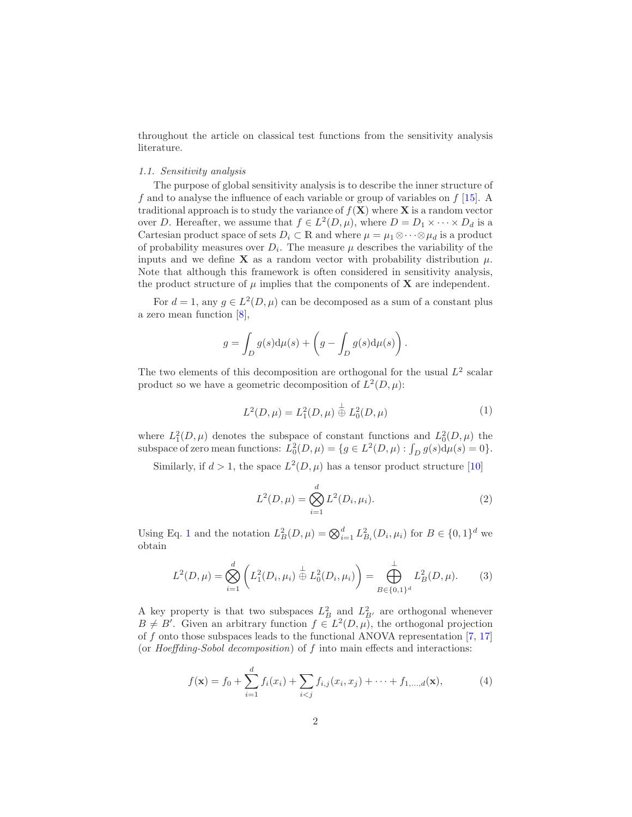throughout the article on classical test functions from the sensitivity analysis literature.

# 1.1. Sensitivity analysis

The purpose of global sensitivity analysis is to describe the inner structure of f and to analyse the influence of each variable or group of variables on  $f$  [\[15](#page-16-1)]. A traditional approach is to study the variance of  $f(\mathbf{X})$  where **X** is a random vector over D. Hereafter, we assume that  $f \in L^2(D, \mu)$ , where  $D = D_1 \times \cdots \times D_d$  is a Cartesian product space of sets  $D_i \subset \mathbb{R}$  and where  $\mu = \mu_1 \otimes \cdots \otimes \mu_d$  is a product of probability measures over  $D_i$ . The measure  $\mu$  describes the variability of the inputs and we define **X** as a random vector with probability distribution  $\mu$ . Note that although this framework is often considered in sensitivity analysis, the product structure of  $\mu$  implies that the components of **X** are independent.

For  $d = 1$ , any  $g \in L^2(D, \mu)$  can be decomposed as a sum of a constant plus a zero mean function [\[8\]](#page-16-2),

$$
g = \int_D g(s) d\mu(s) + \left(g - \int_D g(s) d\mu(s)\right).
$$

The two elements of this decomposition are orthogonal for the usual  $L^2$  scalar product so we have a geometric decomposition of  $L^2(D, \mu)$ :

$$
L^{2}(D,\mu) = L_{1}^{2}(D,\mu) \stackrel{\perp}{\oplus} L_{0}^{2}(D,\mu)
$$
 (1)

<span id="page-1-0"></span>where  $L_1^2(D,\mu)$  denotes the subspace of constant functions and  $L_0^2(D,\mu)$  the subspace of zero mean functions:  $L_0^2(D,\mu) = \{g \in L^2(D,\mu) : \int_D g(s) d\mu(s) = 0\}.$ 

Similarly, if  $d > 1$ , the space  $L^2(D, \mu)$  has a tensor product structure [\[10\]](#page-16-3)

$$
L^{2}(D,\mu) = \bigotimes_{i=1}^{d} L^{2}(D_{i},\mu_{i}).
$$
\n(2)

Using Eq. [1](#page-1-0) and the notation  $L_B^2(D,\mu) = \bigotimes_{i=1}^d L_{B_i}^2(D_i,\mu_i)$  for  $B \in \{0,1\}^d$  we obtain

$$
L^{2}(D,\mu) = \bigotimes_{i=1}^{d} \left( L_{1}^{2}(D_{i},\mu_{i}) \stackrel{\perp}{\oplus} L_{0}^{2}(D_{i},\mu_{i}) \right) = \bigoplus_{B \in \{0,1\}^{d}}^{L} L_{B}^{2}(D,\mu). \tag{3}
$$

A key property is that two subspaces  $L_B^2$  and  $L_{B'}^2$  are orthogonal whenever  $B \neq B'$ . Given an arbitrary function  $f \in L^2(D, \mu)$ , the orthogonal projection of f onto those subspaces leads to the functional ANOVA representation  $[7, 17]$  $[7, 17]$ (or Hoeffding-Sobol decomposition) of  $f$  into main effects and interactions:

<span id="page-1-1"></span>
$$
f(\mathbf{x}) = f_0 + \sum_{i=1}^d f_i(x_i) + \sum_{i < j} f_{i,j}(x_i, x_j) + \dots + f_{1,\dots,d}(\mathbf{x}),\tag{4}
$$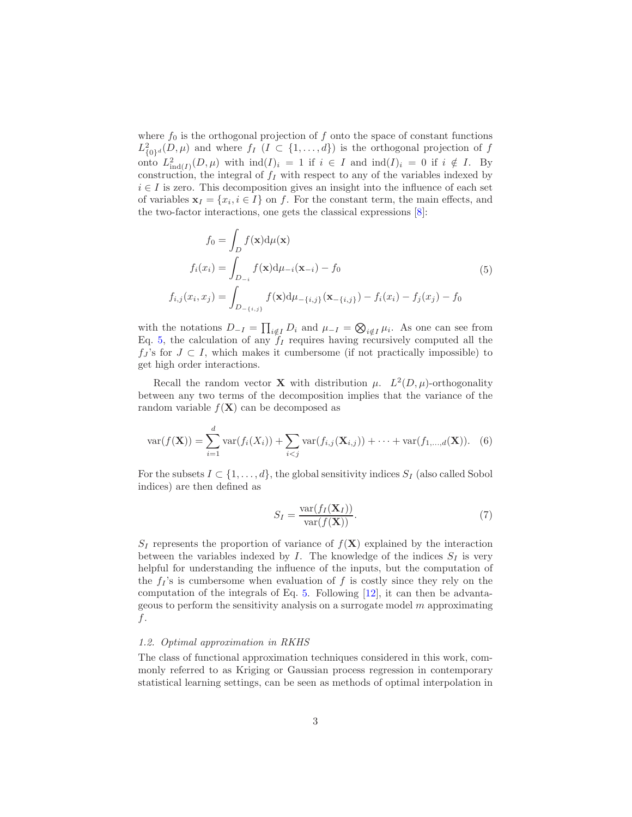where  $f_0$  is the orthogonal projection of f onto the space of constant functions  $L^2_{\{0\}^d}(D,\mu)$  and where  $f_I$   $(I \subset \{1,\ldots,d\})$  is the orthogonal projection of f onto  $L^2_{ind(I)}(D,\mu)$  with  $ind(I)_i = 1$  if  $i \in I$  and  $ind(I)_i = 0$  if  $i \notin I$ . By construction, the integral of  $f_I$  with respect to any of the variables indexed by  $i \in I$  is zero. This decomposition gives an insight into the influence of each set of variables  $\mathbf{x}_I = \{x_i, i \in I\}$  on f. For the constant term, the main effects, and the two-factor interactions, one gets the classical expressions [\[8](#page-16-2)]:

<span id="page-2-0"></span>
$$
f_0 = \int_D f(\mathbf{x}) d\mu(\mathbf{x})
$$
  
\n
$$
f_i(x_i) = \int_{D_{-i}} f(\mathbf{x}) d\mu_{-i}(\mathbf{x}_{-i}) - f_0
$$
  
\n
$$
f_{i,j}(x_i, x_j) = \int_{D_{-\{i,j\}}} f(\mathbf{x}) d\mu_{-\{i,j\}}(\mathbf{x}_{-\{i,j\}}) - f_i(x_i) - f_j(x_j) - f_0
$$
\n(5)

with the notations  $D_{-I} = \prod_{i \notin I} D_i$  and  $\mu_{-I} = \bigotimes_{i \notin I} \mu_i$ . As one can see from Eq. [5,](#page-2-0) the calculation of any  $f_I$  requires having recursively computed all the  $f_J$ 's for  $J \subset I$ , which makes it cumbersome (if not practically impossible) to get high order interactions.

Recall the random vector **X** with distribution  $\mu$ .  $L^2(D, \mu)$ -orthogonality between any two terms of the decomposition implies that the variance of the random variable  $f(\mathbf{X})$  can be decomposed as

$$
\text{var}(f(\mathbf{X})) = \sum_{i=1}^{d} \text{var}(f_i(X_i)) + \sum_{i < j} \text{var}(f_{i,j}(\mathbf{X}_{i,j})) + \dots + \text{var}(f_{1,\dots,d}(\mathbf{X})). \tag{6}
$$

For the subsets  $I \subset \{1, \ldots, d\}$ , the global sensitivity indices  $S_I$  (also called Sobol indices) are then defined as

$$
S_I = \frac{\text{var}(f_I(\mathbf{X}_I))}{\text{var}(f(\mathbf{X}))}.
$$
\n(7)

 $S_I$  represents the proportion of variance of  $f(\mathbf{X})$  explained by the interaction between the variables indexed by  $I$ . The knowledge of the indices  $S_I$  is very helpful for understanding the influence of the inputs, but the computation of the  $f_I$ 's is cumbersome when evaluation of f is costly since they rely on the computation of the integrals of Eq. [5.](#page-2-0) Following [\[12](#page-16-0)], it can then be advantageous to perform the sensitivity analysis on a surrogate model  $m$  approximating f.

#### 1.2. Optimal approximation in RKHS

The class of functional approximation techniques considered in this work, commonly referred to as Kriging or Gaussian process regression in contemporary statistical learning settings, can be seen as methods of optimal interpolation in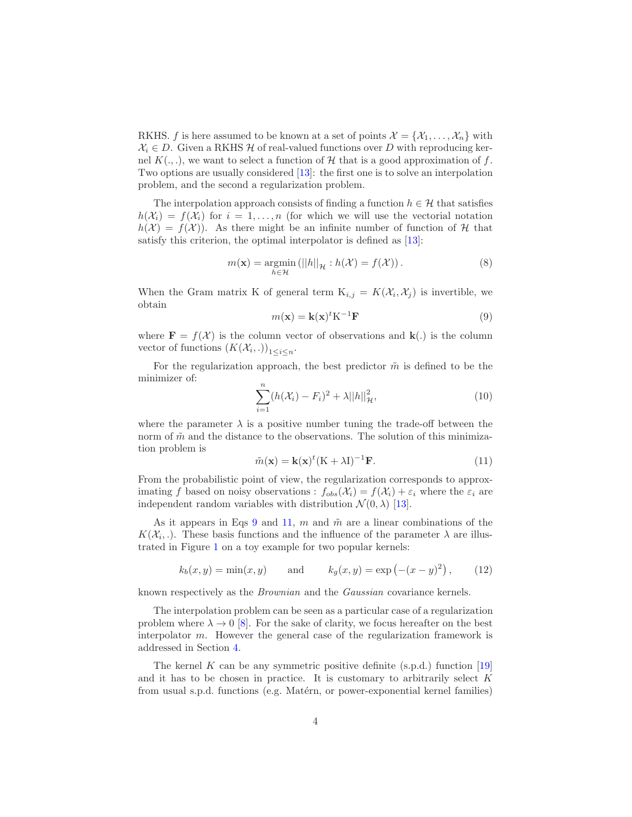RKHS. f is here assumed to be known at a set of points  $\mathcal{X} = \{X_1, \ldots, X_n\}$  with  $X_i \in D$ . Given a RKHS H of real-valued functions over D with reproducing kernel  $K(.,.),$  we want to select a function of H that is a good approximation of f. Two options are usually considered [\[13](#page-16-6)]: the first one is to solve an interpolation problem, and the second a regularization problem.

The interpolation approach consists of finding a function  $h \in \mathcal{H}$  that satisfies  $h(\mathcal{X}_i) = f(\mathcal{X}_i)$  for  $i = 1, \ldots, n$  (for which we will use the vectorial notation  $h(\mathcal{X}) = f(\mathcal{X})$ . As there might be an infinite number of function of H that satisfy this criterion, the optimal interpolator is defined as [\[13\]](#page-16-6):

$$
m(\mathbf{x}) = \underset{h \in \mathcal{H}}{\operatorname{argmin}} \left( ||h||_{\mathcal{H}} : h(\mathcal{X}) = f(\mathcal{X}) \right). \tag{8}
$$

When the Gram matrix K of general term  $K_{i,j} = K(\mathcal{X}_i, \mathcal{X}_j)$  is invertible, we obtain

<span id="page-3-0"></span>
$$
m(\mathbf{x}) = \mathbf{k}(\mathbf{x})^t \mathbf{K}^{-1} \mathbf{F}
$$
\n(9)

where  $\mathbf{F} = f(\mathcal{X})$  is the column vector of observations and  $\mathbf{k}(.)$  is the column vector of functions  $(K(\mathcal{X}_i, .))_{1 \leq i \leq n}$ .

For the regularization approach, the best predictor  $\tilde{m}$  is defined to be the minimizer of:

$$
\sum_{i=1}^{n} (h(\mathcal{X}_i) - F_i)^2 + \lambda ||h||_{\mathcal{H}}^2,
$$
\n(10)

where the parameter  $\lambda$  is a positive number tuning the trade-off between the norm of  $\tilde{m}$  and the distance to the observations. The solution of this minimization problem is

<span id="page-3-1"></span>
$$
\tilde{m}(\mathbf{x}) = \mathbf{k}(\mathbf{x})^t (\mathbf{K} + \lambda \mathbf{I})^{-1} \mathbf{F}.
$$
\n(11)

From the probabilistic point of view, the regularization corresponds to approximating f based on noisy observations :  $f_{obs}(\mathcal{X}_i) = f(\mathcal{X}_i) + \varepsilon_i$  where the  $\varepsilon_i$  are independent random variables with distribution  $\mathcal{N}(0, \lambda)$  [\[13\]](#page-16-6).

As it appears in Eqs [9](#page-3-0) and [11,](#page-3-1) m and  $\tilde{m}$  are a linear combinations of the  $K(\mathcal{X}_i, \cdot)$ . These basis functions and the influence of the parameter  $\lambda$  are illustrated in Figure [1](#page-4-0) on a toy example for two popular kernels:

<span id="page-3-2"></span>
$$
k_b(x, y) = min(x, y)
$$
 and  $k_g(x, y) = exp(-(x - y)^2)$ , (12)

known respectively as the Brownian and the Gaussian covariance kernels.

The interpolation problem can be seen as a particular case of a regularization problem where  $\lambda \to 0$  [\[8\]](#page-16-2). For the sake of clarity, we focus hereafter on the best interpolator m. However the general case of the regularization framework is addressed in Section [4.](#page-13-0)

The kernel K can be any symmetric positive definite  $(s.p.d.)$  function [\[19\]](#page-17-0) and it has to be chosen in practice. It is customary to arbitrarily select  $K$ from usual s.p.d. functions (e.g. Matérn, or power-exponential kernel families)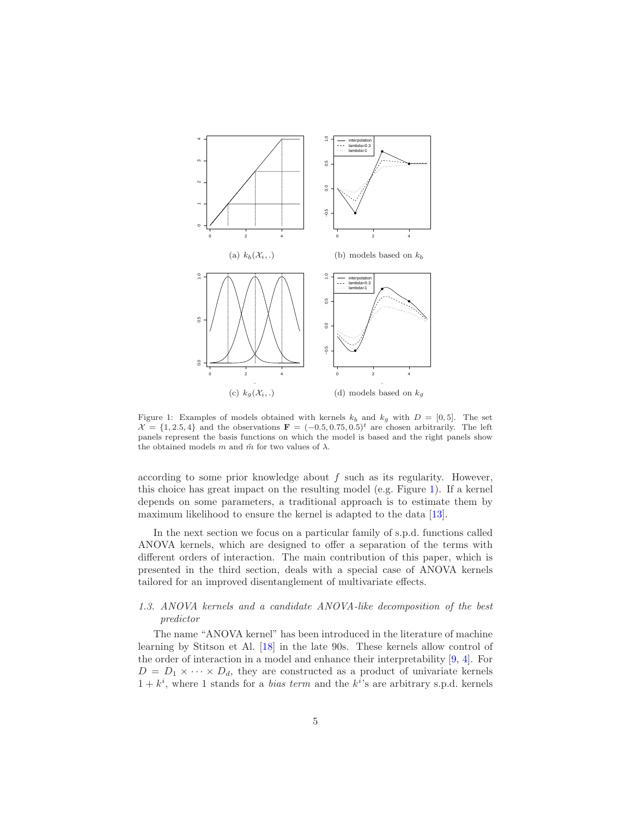

<span id="page-4-0"></span>Figure 1: Examples of models obtained with kernels  $k_b$  and  $k_g$  with  $D = [0, 5]$ . The set  $\mathcal{X} = \{1, 2.5, 4\}$  and the observations  $\mathbf{F} = (-0.5, 0.75, 0.5)^t$  are chosen arbitrarily. The left panels represent the basis functions on which the model is based and the right panels show the obtained models m and  $\tilde{m}$  for two values of  $\lambda$ .

according to some prior knowledge about  $f$  such as its regularity. However, this choice has great impact on the resulting model (e.g. Figure [1\)](#page-4-0). If a kernel depends on some parameters, a traditional approach is to estimate them by maximum likelihood to ensure the kernel is adapted to the data [\[13\]](#page-16-6).

In the next section we focus on a particular family of s.p.d. functions called ANOVA kernels, which are designed to offer a separation of the terms with different orders of interaction. The main contribution of this paper, which is presented in the third section, deals with a special case of ANOVA kernels tailored for an improved disentanglement of multivariate effects.

# 1.3. ANOVA kernels and a candidate ANOVA-like decomposition of the best predictor

The name "ANOVA kernel" has been introduced in the literature of machine learning by Stitson et Al. [\[18](#page-16-7)] in the late 90s. These kernels allow control of the order of interaction in a model and enhance their interpretability [\[9](#page-16-8), [4](#page-16-9)]. For  $D = D_1 \times \cdots \times D_d$ , they are constructed as a product of univariate kernels  $1 + k^i$ , where 1 stands for a *bias term* and the  $k^{i}$ 's are arbitrary s.p.d. kernels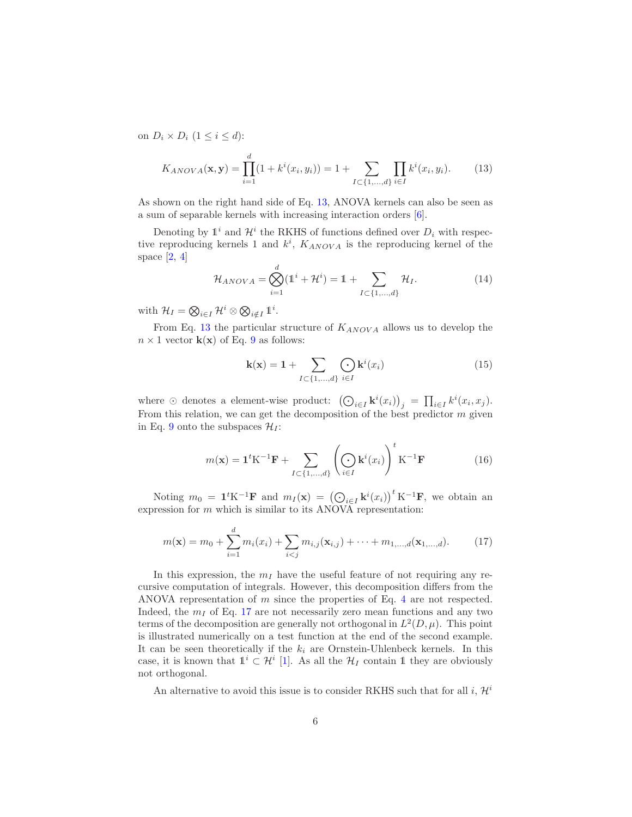on  $D_i \times D_i$   $(1 \leq i \leq d)$ :

<span id="page-5-0"></span>
$$
K_{ANOVA}(\mathbf{x}, \mathbf{y}) = \prod_{i=1}^{d} (1 + k^i(x_i, y_i)) = 1 + \sum_{I \subset \{1, \dots, d\}} \prod_{i \in I} k^i(x_i, y_i).
$$
 (13)

As shown on the right hand side of Eq. [13,](#page-5-0) ANOVA kernels can also be seen as a sum of separable kernels with increasing interaction orders [\[6\]](#page-16-10).

Denoting by  $\mathbb{1}^i$  and  $\mathcal{H}^i$  the RKHS of functions defined over  $D_i$  with respective reproducing kernels 1 and  $k^i$ ,  $K_{ANOVA}$  is the reproducing kernel of the space  $[2, 4]$  $[2, 4]$  $[2, 4]$ 

$$
\mathcal{H}_{ANOVA} = \bigotimes_{i=1}^{d} (\mathbb{1}^{i} + \mathcal{H}^{i}) = \mathbb{1} + \sum_{I \subset \{1, ..., d\}} \mathcal{H}_{I}.
$$
 (14)

with  $\mathcal{H}_I = \bigotimes_{i \in I} \mathcal{H}^i \otimes \bigotimes_{i \notin I} \mathbb{1}^i$ .

From Eq. [13](#page-5-0) the particular structure of  $K_{ANOVA}$  allows us to develop the  $n \times 1$  vector  $\mathbf{k}(\mathbf{x})$  of Eq. [9](#page-3-0) as follows:

$$
\mathbf{k}(\mathbf{x}) = \mathbf{1} + \sum_{I \subset \{1, ..., d\}} \bigodot_{i \in I} \mathbf{k}^{i}(x_{i})
$$
(15)

where  $\odot$  denotes a element-wise product:  $\left(\bigodot_{i\in I} \mathbf{k}^i(x_i)\right)_j = \prod_{i\in I} k^i(x_i, x_j)$ . From this relation, we can get the decomposition of the best predictor  $m$  given in Eq. [9](#page-3-0) onto the subspaces  $\mathcal{H}_I$ :

<span id="page-5-2"></span>
$$
m(\mathbf{x}) = \mathbf{1}^t \mathbf{K}^{-1} \mathbf{F} + \sum_{I \subset \{1, \dots, d\}} \left( \bigodot_{i \in I} \mathbf{k}^i(x_i) \right)^t \mathbf{K}^{-1} \mathbf{F}
$$
(16)

Noting  $m_0 = \mathbf{1}^t \mathbf{K}^{-1} \mathbf{F}$  and  $m_I(\mathbf{x}) = (\bigodot_{i \in I} \mathbf{k}^i(x_i))^t \mathbf{K}^{-1} \mathbf{F}$ , we obtain an expression for  $m$  which is similar to its ANOVA representation:

<span id="page-5-1"></span>
$$
m(\mathbf{x}) = m_0 + \sum_{i=1}^{d} m_i(x_i) + \sum_{i < j} m_{i,j}(\mathbf{x}_{i,j}) + \dots + m_{1,\dots,d}(\mathbf{x}_{1,\dots,d}).\tag{17}
$$

In this expression, the  $m_I$  have the useful feature of not requiring any recursive computation of integrals. However, this decomposition differs from the ANOVA representation of m since the properties of Eq. [4](#page-1-1) are not respected. Indeed, the  $m<sub>I</sub>$  of Eq. [17](#page-5-1) are not necessarily zero mean functions and any two terms of the decomposition are generally not orthogonal in  $L^2(D, \mu)$ . This point is illustrated numerically on a test function at the end of the second example. It can be seen theoretically if the  $k_i$  are Ornstein-Uhlenbeck kernels. In this case, it is known that  $\mathbb{1}^i \subset \mathcal{H}^i$  [\[1\]](#page-15-1). As all the  $\mathcal{H}_I$  contain 1 they are obviously not orthogonal.

An alternative to avoid this issue is to consider RKHS such that for all i,  $\mathcal{H}^i$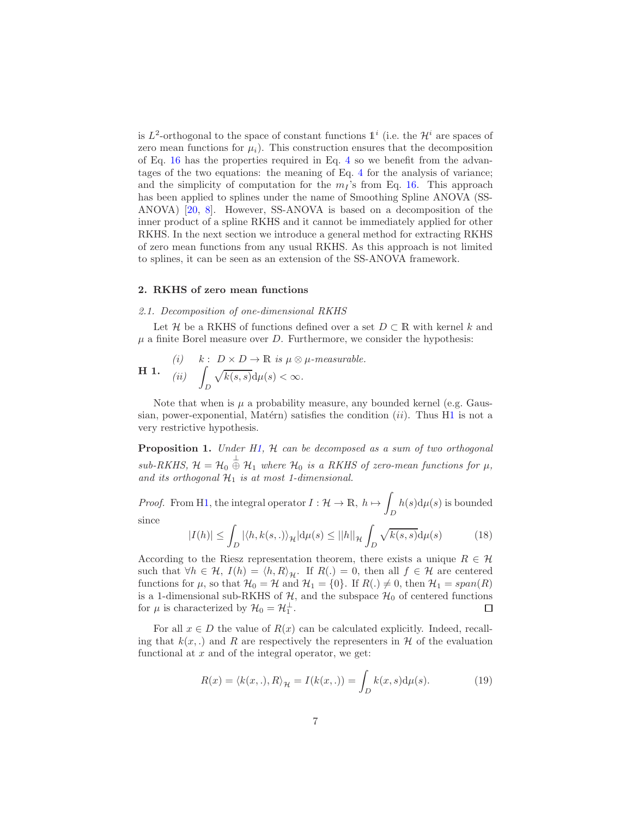is  $L^2$ -orthogonal to the space of constant functions  $\mathbb{1}^i$  (i.e. the  $\mathcal{H}^i$  are spaces of zero mean functions for  $\mu_i$ ). This construction ensures that the decomposition of Eq. [16](#page-5-2) has the properties required in Eq. [4](#page-1-1) so we benefit from the advantages of the two equations: the meaning of Eq. [4](#page-1-1) for the analysis of variance; and the simplicity of computation for the  $m<sub>I</sub>$ 's from Eq. [16.](#page-5-2) This approach has been applied to splines under the name of Smoothing Spline ANOVA (SS-ANOVA) [\[20,](#page-17-1) [8\]](#page-16-2). However, SS-ANOVA is based on a decomposition of the inner product of a spline RKHS and it cannot be immediately applied for other RKHS. In the next section we introduce a general method for extracting RKHS of zero mean functions from any usual RKHS. As this approach is not limited to splines, it can be seen as an extension of the SS-ANOVA framework.

#### 2. RKHS of zero mean functions

#### 2.1. Decomposition of one-dimensional RKHS

Let H be a RKHS of functions defined over a set  $D \subset \mathbb{R}$  with kernel k and  $\mu$  a finite Borel measure over D. Furthermore, we consider the hypothesis:

<span id="page-6-0"></span>H 1. (i) 
$$
k: D \times D \to \mathbb{R}
$$
 is  $\mu \otimes \mu$ -measurable.  
H 1. (ii)  $\int_D \sqrt{k(s,s)} d\mu(s) < \infty$ .

Note that when is  $\mu$  a probability measure, any bounded kernel (e.g. Gaussian, power-exponential, Matérn) satisfies the condition  $(ii)$ . Thus [H1](#page-6-0) is not a very restrictive hypothesis.

<span id="page-6-1"></span>**Proposition 1.** Under [H1,](#page-6-0) H can be decomposed as a sum of two orthogonal sub-RKHS,  $\mathcal{H} = \mathcal{H}_0 \stackrel{\perp}{\oplus} \mathcal{H}_1$  where  $\mathcal{H}_0$  is a RKHS of zero-mean functions for  $\mu$ , and its orthogonal  $H_1$  is at most 1-dimensional.

*Proof.* From [H1,](#page-6-0) the integral operator  $I: \mathcal{H} \to \mathbb{R}, h \mapsto$ D  $h(s)d\mu(s)$  is bounded since

$$
|I(h)| \le \int_D |\langle h, k(s,.)\rangle_{\mathcal{H}}|d\mu(s) \le ||h||_{\mathcal{H}} \int_D \sqrt{k(s,s)}d\mu(s) \tag{18}
$$

According to the Riesz representation theorem, there exists a unique  $R \in \mathcal{H}$ such that  $\forall h \in \mathcal{H}, I(h) = \langle h, R \rangle_{\mathcal{H}}.$  If  $R(.) = 0$ , then all  $f \in \mathcal{H}$  are centered functions for  $\mu$ , so that  $\mathcal{H}_0 = \mathcal{H}$  and  $\mathcal{H}_1 = \{0\}$ . If  $R(.) \neq 0$ , then  $\mathcal{H}_1 = span(R)$ is a 1-dimensional sub-RKHS of  $H$ , and the subspace  $H_0$  of centered functions for  $\mu$  is characterized by  $\mathcal{H}_0 = \mathcal{H}_1^{\perp}$ .  $\Box$ 

For all  $x \in D$  the value of  $R(x)$  can be calculated explicitly. Indeed, recalling that  $k(x,.)$  and R are respectively the representers in H of the evaluation functional at  $x$  and of the integral operator, we get:

$$
R(x) = \langle k(x, .), R \rangle_{\mathcal{H}} = I(k(x, .)) = \int_{D} k(x, s) d\mu(s).
$$
 (19)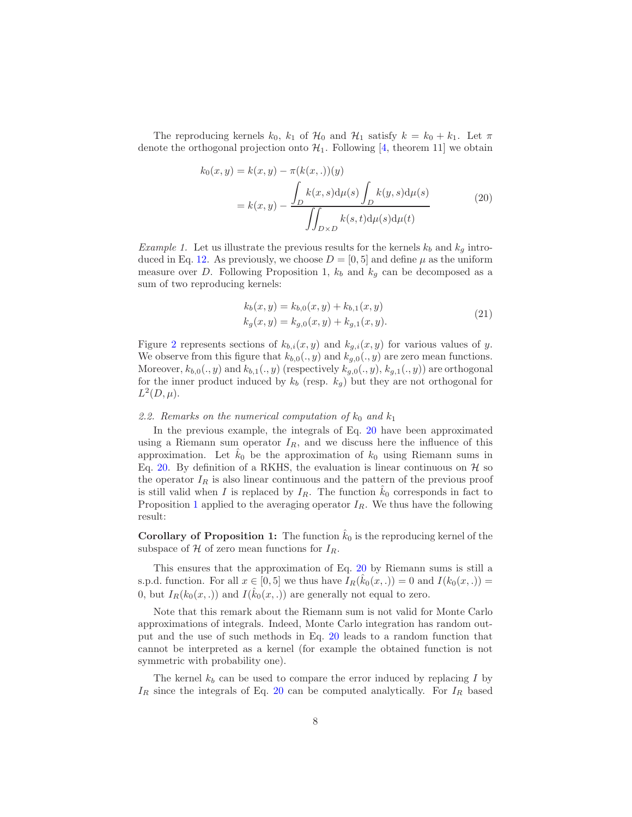The reproducing kernels  $k_0$ ,  $k_1$  of  $\mathcal{H}_0$  and  $\mathcal{H}_1$  satisfy  $k = k_0 + k_1$ . Let  $\pi$ denote the orthogonal projection onto  $\mathcal{H}_1$ . Following [\[4,](#page-16-9) theorem 11] we obtain

$$
k_0(x, y) = k(x, y) - \pi(k(x, .))(y)
$$
  

$$
= k(x, y) - \frac{\int_D k(x, s) d\mu(s) \int_D k(y, s) d\mu(s)}{\iint_{D \times D} k(s, t) d\mu(s) d\mu(t)}
$$
(20)

<span id="page-7-0"></span>*Example 1.* Let us illustrate the previous results for the kernels  $k_b$  and  $k_g$  intro-duced in Eq. [12.](#page-3-2) As previously, we choose  $D = [0, 5]$  and define  $\mu$  as the uniform measure over D. Following Proposition 1,  $k_b$  and  $k_g$  can be decomposed as a sum of two reproducing kernels:

$$
k_b(x, y) = k_{b,0}(x, y) + k_{b,1}(x, y)
$$
  
\n
$$
k_g(x, y) = k_{g,0}(x, y) + k_{g,1}(x, y).
$$
\n(21)

Figure [2](#page-8-0) represents sections of  $k_{b,i}(x, y)$  and  $k_{g,i}(x, y)$  for various values of y. We observe from this figure that  $k_{b,0}(., y)$  and  $k_{g,0}(., y)$  are zero mean functions. Moreover,  $k_{b,0}(., y)$  and  $k_{b,1}(., y)$  (respectively  $k_{g,0}(., y), k_{g,1}(., y)$ ) are orthogonal for the inner product induced by  $k_b$  (resp.  $k_g$ ) but they are not orthogonal for  $L^2(D,\mu).$ 

#### 2.2. Remarks on the numerical computation of  $k_0$  and  $k_1$

In the previous example, the integrals of Eq. [20](#page-7-0) have been approximated using a Riemann sum operator  $I_R$ , and we discuss here the influence of this approximation. Let  $\hat{k}_0$  be the approximation of  $k_0$  using Riemann sums in Eq. [20.](#page-7-0) By definition of a RKHS, the evaluation is linear continuous on  $\mathcal H$  so the operator  $I_R$  is also linear continuous and the pattern of the previous proof is still valid when I is replaced by  $I_R$ . The function  $k_0$  corresponds in fact to Proposition [1](#page-6-1) applied to the averaging operator  $I_R$ . We thus have the following result:

**Corollary of Proposition 1:** The function  $k_0$  is the reproducing kernel of the subspace of  $H$  of zero mean functions for  $I_R$ .

This ensures that the approximation of Eq. [20](#page-7-0) by Riemann sums is still a s.p.d. function. For all  $x \in [0, 5]$  we thus have  $I_R(\hat{k}_0(x, .)) = 0$  and  $I(k_0(x, .)) =$ 0, but  $I_R(k_0(x, .))$  and  $I(\hat{k}_0(x, .))$  are generally not equal to zero.

Note that this remark about the Riemann sum is not valid for Monte Carlo approximations of integrals. Indeed, Monte Carlo integration has random output and the use of such methods in Eq. [20](#page-7-0) leads to a random function that cannot be interpreted as a kernel (for example the obtained function is not symmetric with probability one).

The kernel  $k_b$  can be used to compare the error induced by replacing I by  $I_R$  since the integrals of Eq. [20](#page-7-0) can be computed analytically. For  $I_R$  based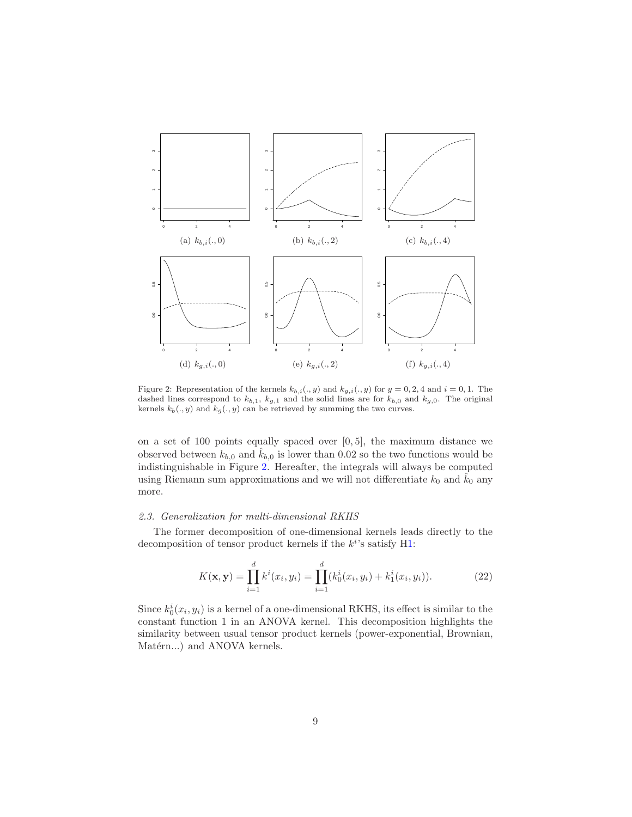

<span id="page-8-0"></span>Figure 2: Representation of the kernels  $k_{b,i}(., y)$  and  $k_{g,i}(., y)$  for  $y = 0, 2, 4$  and  $i = 0, 1$ . The dashed lines correspond to  $k_{b,1}$ ,  $k_{g,1}$  and the solid lines are for  $k_{b,0}$  and  $k_{g,0}$ . The original kernels  $k_b(., y)$  and  $k_g(., y)$  can be retrieved by summing the two curves.

on a set of 100 points equally spaced over [0, 5], the maximum distance we observed between  $k_{b,0}$  and  $\tilde{k}_{b,0}$  is lower than 0.02 so the two functions would be indistinguishable in Figure [2.](#page-8-0) Hereafter, the integrals will always be computed using Riemann sum approximations and we will not differentiate  $k_0$  and  $\hat{k}_0$  any more.

#### 2.3. Generalization for multi-dimensional RKHS

The former decomposition of one-dimensional kernels leads directly to the decomposition of tensor product kernels if the  $k^{i}$ 's satisfy [H1:](#page-6-0)

$$
K(\mathbf{x}, \mathbf{y}) = \prod_{i=1}^{d} k^{i}(x_{i}, y_{i}) = \prod_{i=1}^{d} (k_{0}^{i}(x_{i}, y_{i}) + k_{1}^{i}(x_{i}, y_{i})).
$$
 (22)

Since  $k_0^i(x_i, y_i)$  is a kernel of a one-dimensional RKHS, its effect is similar to the constant function 1 in an ANOVA kernel. This decomposition highlights the similarity between usual tensor product kernels (power-exponential, Brownian, Matérn...) and ANOVA kernels.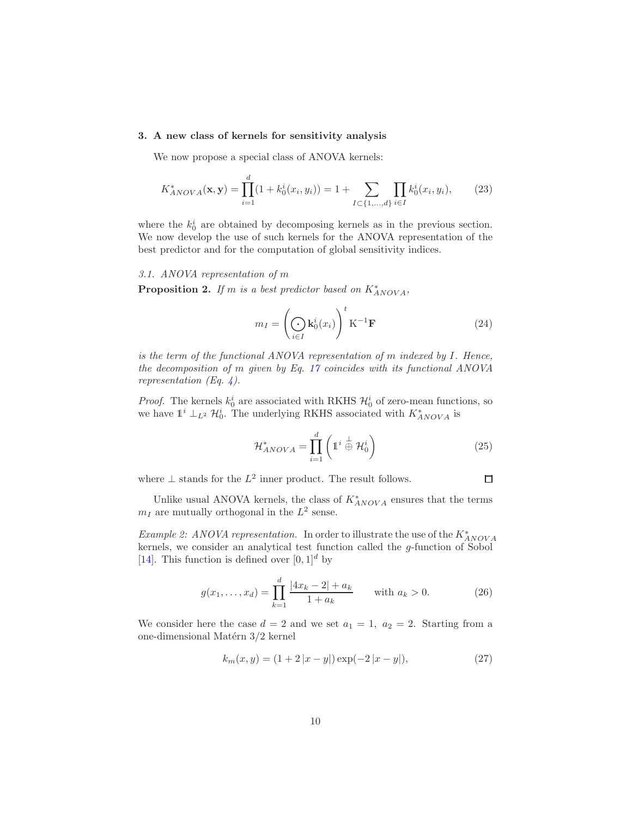# 3. A new class of kernels for sensitivity analysis

We now propose a special class of ANOVA kernels:

<span id="page-9-0"></span>
$$
K_{ANOVA}^*(\mathbf{x}, \mathbf{y}) = \prod_{i=1}^d (1 + k_0^i(x_i, y_i)) = 1 + \sum_{I \subset \{1, \dots, d\}} \prod_{i \in I} k_0^i(x_i, y_i), \tag{23}
$$

where the  $k_0^i$  are obtained by decomposing kernels as in the previous section. We now develop the use of such kernels for the ANOVA representation of the best predictor and for the computation of global sensitivity indices.

# 3.1. ANOVA representation of m

**Proposition 2.** If m is a best predictor based on  $K^*_{ANOVA}$ ,

$$
m_I = \left(\bigodot_{i \in I} \mathbf{k}_0^i(x_i)\right)^t \mathbf{K}^{-1} \mathbf{F}
$$
 (24)

is the term of the functional ANOVA representation of m indexed by I. Hence, the decomposition of m given by Eq. [17](#page-5-1) coincides with its functional ANOVA representation (Eq. [4\)](#page-1-1).

*Proof.* The kernels  $k_0^i$  are associated with RKHS  $\mathcal{H}_0^i$  of zero-mean functions, so we have  $\mathbb{1}^i \perp_{L^2} \mathcal{H}_0^i$ . The underlying RKHS associated with  $K^*_{ANOVA}$  is

$$
\mathcal{H}_{ANOVA}^* = \prod_{i=1}^d \left( \mathbb{1}^i \stackrel{\perp}{\oplus} \mathcal{H}_0^i \right) \tag{25}
$$

where  $\perp$  stands for the  $L^2$  inner product. The result follows.

 $\Box$ 

Unlike usual ANOVA kernels, the class of  $K^*_{ANOVA}$  ensures that the terms  $m_I$  are mutually orthogonal in the  $L^2$  sense.

Example 2: ANOVA representation. In order to illustrate the use of the  $K^*_{ANOVA}$ kernels, we consider an analytical test function called the g-function of Sobol [\[14\]](#page-16-11). This function is defined over  $[0, 1]^d$  by

$$
g(x_1, \dots, x_d) = \prod_{k=1}^d \frac{|4x_k - 2| + a_k}{1 + a_k} \quad \text{with } a_k > 0.
$$
 (26)

We consider here the case  $d = 2$  and we set  $a_1 = 1$ ,  $a_2 = 2$ . Starting from a one-dimensional Matérn $3/2$ kernel

<span id="page-9-1"></span>
$$
k_m(x, y) = (1 + 2|x - y|) \exp(-2|x - y|), \tag{27}
$$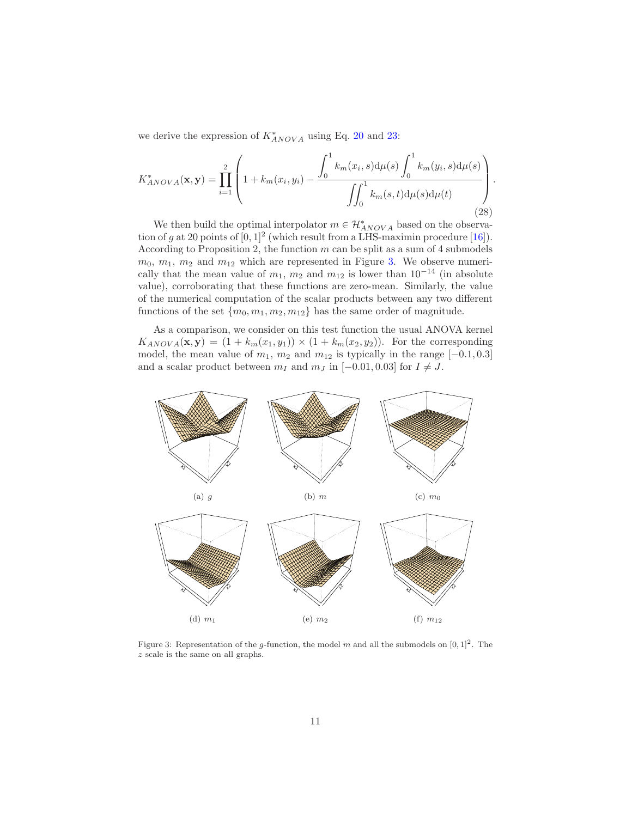we derive the expression of  $K^*_{ANOVA}$  using Eq. [20](#page-7-0) and [23:](#page-9-0)

$$
K_{ANOVA}^{*}(\mathbf{x}, \mathbf{y}) = \prod_{i=1}^{2} \left( 1 + k_m(x_i, y_i) - \frac{\int_0^1 k_m(x_i, s) d\mu(s) \int_0^1 k_m(y_i, s) d\mu(s)}{\int_0^1 k_m(s, t) d\mu(s) d\mu(t)} \right). \tag{28}
$$

We then build the optimal interpolator  $m \in \mathcal{H}^*_{ANOVA}$  based on the observation of g at 20 points of  $[0,1]^2$  (which result from a LHS-maximin procedure [\[16](#page-16-12)]). According to Proposition 2, the function  $m$  can be split as a sum of 4 submodels  $m_0, m_1, m_2$  and  $m_{12}$  which are represented in Figure [3.](#page-10-0) We observe numerically that the mean value of  $m_1$ ,  $m_2$  and  $m_{12}$  is lower than  $10^{-14}$  (in absolute value), corroborating that these functions are zero-mean. Similarly, the value of the numerical computation of the scalar products between any two different functions of the set  ${m_0, m_1, m_2, m_{12}}$  has the same order of magnitude.

As a comparison, we consider on this test function the usual ANOVA kernel  $K_{ANOVA}(\mathbf{x}, \mathbf{y}) = (1 + k_m(x_1, y_1)) \times (1 + k_m(x_2, y_2)).$  For the corresponding model, the mean value of  $m_1$ ,  $m_2$  and  $m_{12}$  is typically in the range [−0.1, 0.3] and a scalar product between  $m_I$  and  $m_J$  in [−0.01, 0.03] for  $I \neq J$ .



<span id="page-10-0"></span>Figure 3: Representation of the g-function, the model m and all the submodels on  $[0,1]^2$ . The z scale is the same on all graphs.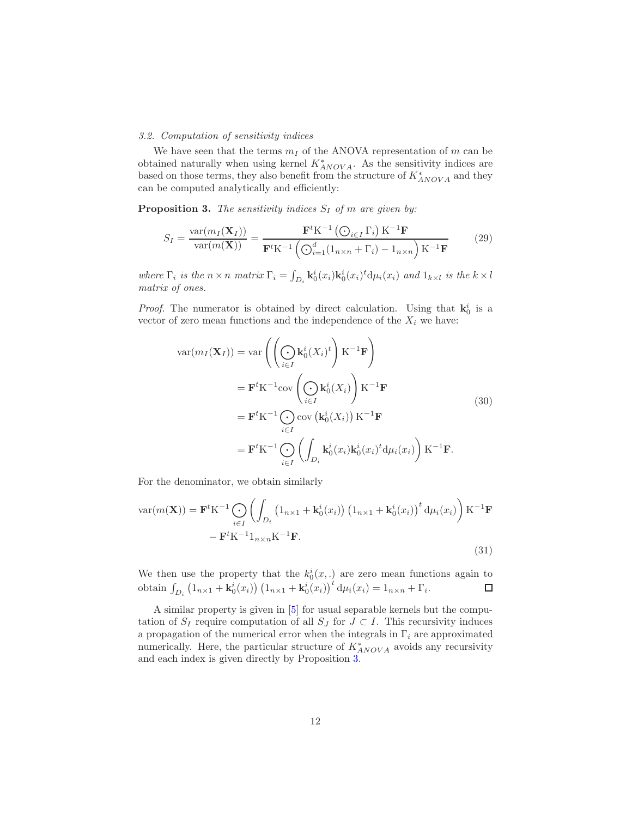#### 3.2. Computation of sensitivity indices

We have seen that the terms  $m_I$  of the ANOVA representation of m can be obtained naturally when using kernel  $K^*_{ANOVA}$ . As the sensitivity indices are based on those terms, they also benefit from the structure of  $K^{\ast}_{ANOVA}$  and they can be computed analytically and efficiently:

**Proposition 3.** The sensitivity indices  $S_I$  of m are given by:

<span id="page-11-0"></span>
$$
S_{I} = \frac{\text{var}(m_{I}(\mathbf{X}_{I}))}{\text{var}(m(\mathbf{X}))} = \frac{\mathbf{F}^{t} \mathbf{K}^{-1} (\bigodot_{i \in I} \Gamma_{i}) \mathbf{K}^{-1} \mathbf{F}}{\mathbf{F}^{t} \mathbf{K}^{-1} (\bigodot_{i=1}^{d} (1_{n \times n} + \Gamma_{i}) - 1_{n \times n}) \mathbf{K}^{-1} \mathbf{F}}
$$
(29)

where  $\Gamma_i$  is the  $n \times n$  matrix  $\Gamma_i = \int_{D_i} \mathbf{k}_0^i(x_i) \mathbf{k}_0^i(x_i)^t d\mu_i(x_i)$  and  $1_{k \times l}$  is the  $k \times l$ matrix of ones.

*Proof.* The numerator is obtained by direct calculation. Using that  $\mathbf{k}_0^i$  is a vector of zero mean functions and the independence of the  $X_i$  we have:

$$
\operatorname{var}(m_I(\mathbf{X}_I)) = \operatorname{var}\left(\left(\bigodot_{i \in I} \mathbf{k}_0^i(X_i)^t\right) \mathbf{K}^{-1} \mathbf{F}\right)
$$
  
\n
$$
= \mathbf{F}^t \mathbf{K}^{-1} \operatorname{cov}\left(\bigodot_{i \in I} \mathbf{k}_0^i(X_i)\right) \mathbf{K}^{-1} \mathbf{F}
$$
  
\n
$$
= \mathbf{F}^t \mathbf{K}^{-1} \bigodot_{i \in I} \operatorname{cov}\left(\mathbf{k}_0^i(X_i)\right) \mathbf{K}^{-1} \mathbf{F}
$$
  
\n
$$
= \mathbf{F}^t \mathbf{K}^{-1} \bigodot_{i \in I} \left(\int_{D_i} \mathbf{k}_0^i(x_i) \mathbf{k}_0^i(x_i)^t d\mu_i(x_i)\right) \mathbf{K}^{-1} \mathbf{F}.
$$
\n(30)

For the denominator, we obtain similarly

$$
\text{var}(m(\mathbf{X})) = \mathbf{F}^t \mathbf{K}^{-1} \bigodot_{i \in I} \left( \int_{D_i} \left( \mathbf{1}_{n \times 1} + \mathbf{k}_0^i(x_i) \right) \left( \mathbf{1}_{n \times 1} + \mathbf{k}_0^i(x_i) \right)^t d\mu_i(x_i) \right) \mathbf{K}^{-1} \mathbf{F}
$$

$$
- \mathbf{F}^t \mathbf{K}^{-1} \mathbf{1}_{n \times n} \mathbf{K}^{-1} \mathbf{F}.
$$
(31)

We then use the property that the  $k_0^i(x,.)$  are zero mean functions again to obtain  $\int_{D_i} (1_{n \times 1} + \mathbf{k}_0^i(x_i)) (1_{n \times 1} + \mathbf{k}_0^i(x_i))^t d\mu_i(x_i) = 1_{n \times n} + \Gamma_i$ .

A similar property is given in [\[5](#page-16-13)] for usual separable kernels but the computation of  $S_I$  require computation of all  $S_J$  for  $J \subset I$ . This recursivity induces a propagation of the numerical error when the integrals in  $\Gamma_i$  are approximated numerically. Here, the particular structure of  $K^*_{ANOVA}$  avoids any recursivity and each index is given directly by Proposition [3.](#page-11-0)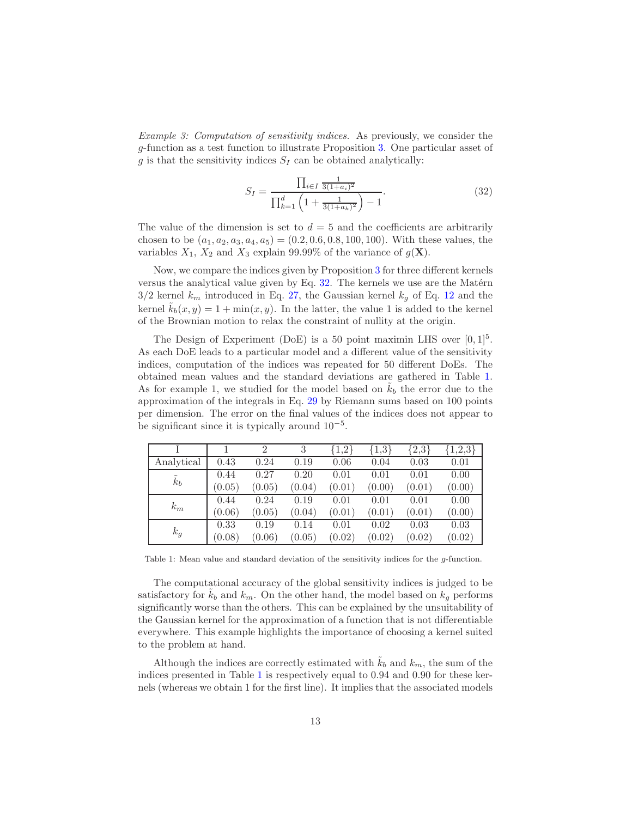Example 3: Computation of sensitivity indices. As previously, we consider the g-function as a test function to illustrate Proposition [3.](#page-11-0) One particular asset of g is that the sensitivity indices  $S_I$  can be obtained analytically:

<span id="page-12-0"></span>
$$
S_I = \frac{\prod_{i \in I} \frac{1}{3(1+a_i)^2}}{\prod_{k=1}^d \left(1 + \frac{1}{3(1+a_k)^2}\right) - 1}.
$$
\n(32)

The value of the dimension is set to  $d = 5$  and the coefficients are arbitrarily chosen to be  $(a_1, a_2, a_3, a_4, a_5) = (0.2, 0.6, 0.8, 100, 100)$ . With these values, the variables  $X_1$ ,  $X_2$  and  $X_3$  explain 99.99% of the variance of  $g(\mathbf{X})$ .

Now, we compare the indices given by Proposition [3](#page-11-0) for three different kernels versus the analytical value given by Eq.  $32$ . The kernels we use are the Matérn  $3/2$  kernel  $k_m$  introduced in Eq. [27,](#page-9-1) the Gaussian kernel  $k_q$  of Eq. [12](#page-3-2) and the kernel  $k_b(x, y) = 1 + \min(x, y)$ . In the latter, the value 1 is added to the kernel of the Brownian motion to relax the constraint of nullity at the origin.

The Design of Experiment (DoE) is a 50 point maximin LHS over  $[0,1]^5$ . As each DoE leads to a particular model and a different value of the sensitivity indices, computation of the indices was repeated for 50 different DoEs. The obtained mean values and the standard deviations are gathered in Table [1.](#page-12-1) As for example 1, we studied for the model based on  $k_b$  the error due to the approximation of the integrals in Eq. [29](#page-11-0) by Riemann sums based on 100 points per dimension. The error on the final values of the indices does not appear to be significant since it is typically around  $10^{-5}$ .

|               |        | $\overline{2}$ | 3      | 1,2    | 1,3    | 2,3    | 1,2,3  |
|---------------|--------|----------------|--------|--------|--------|--------|--------|
| Analytical    | 0.43   | 0.24           | 0.19   | 0.06   | 0.04   | 0.03   | 0.01   |
| $\tilde{k}_b$ | 0.44   | 0.27           | 0.20   | 0.01   | 0.01   | 0.01   | 0.00   |
|               | (0.05) | (0.05)         | (0.04) | (0.01) | (0.00) | (0.01) | (0.00) |
| $k_m$         | 0.44   | 0.24           | 0.19   | 0.01   | 0.01   | 0.01   | 0.00   |
|               | (0.06) | (0.05)         | (0.04) | (0.01) | (0.01) | (0.01) | (0.00) |
| $k_g$         | 0.33   | 0.19           | 0.14   | 0.01   | 0.02   | 0.03   | 0.03   |
|               | (0.08) | (0.06)         | (0.05) | (0.02) | (0.02) | (0.02) | (0.02) |

<span id="page-12-1"></span>Table 1: Mean value and standard deviation of the sensitivity indices for the g-function.

The computational accuracy of the global sensitivity indices is judged to be satisfactory for  $k_b$  and  $k_m$ . On the other hand, the model based on  $k_q$  performs significantly worse than the others. This can be explained by the unsuitability of the Gaussian kernel for the approximation of a function that is not differentiable everywhere. This example highlights the importance of choosing a kernel suited to the problem at hand.

Although the indices are correctly estimated with  $\tilde{k}_b$  and  $k_m$ , the sum of the indices presented in Table [1](#page-12-1) is respectively equal to 0.94 and 0.90 for these kernels (whereas we obtain 1 for the first line). It implies that the associated models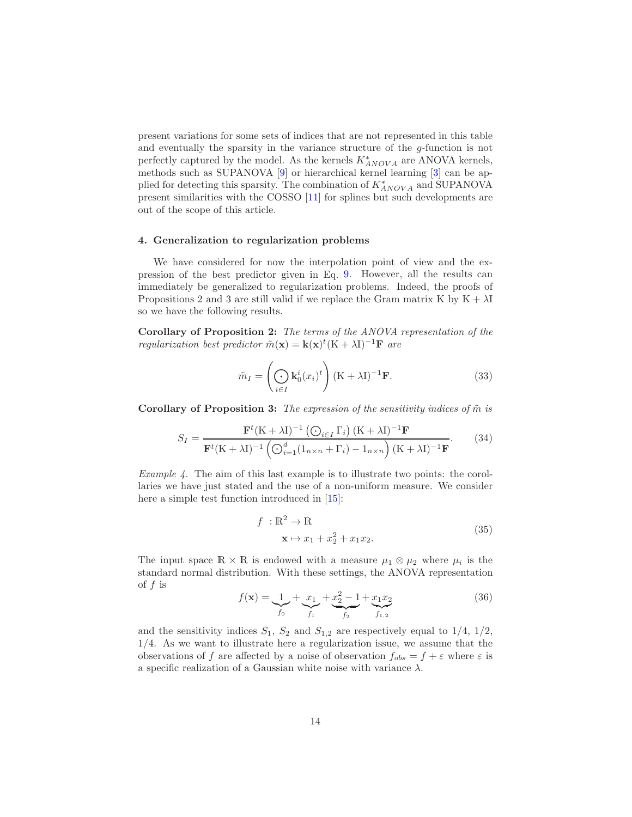present variations for some sets of indices that are not represented in this table and eventually the sparsity in the variance structure of the  $g$ -function is not perfectly captured by the model. As the kernels  $K^{\ast}_{ANOVA}$  are ANOVA kernels, methods such as SUPANOVA [\[9](#page-16-8)] or hierarchical kernel learning [\[3\]](#page-15-2) can be applied for detecting this sparsity. The combination of  $K^*_{ANOVA}$  and SUPANOVA present similarities with the COSSO [\[11\]](#page-16-14) for splines but such developments are out of the scope of this article.

#### <span id="page-13-0"></span>4. Generalization to regularization problems

We have considered for now the interpolation point of view and the expression of the best predictor given in Eq. [9.](#page-3-0) However, all the results can immediately be generalized to regularization problems. Indeed, the proofs of Propositions 2 and 3 are still valid if we replace the Gram matrix K by  $K + \lambda I$ so we have the following results.

Corollary of Proposition 2: The terms of the ANOVA representation of the regularization best predictor  $\tilde{m}(\mathbf{x}) = \mathbf{k}(\mathbf{x})^t (K + \lambda I)^{-1} \mathbf{F}$  are

$$
\tilde{m}_I = \left(\bigodot_{i \in I} \mathbf{k}_0^i (x_i)^t\right) (\mathbf{K} + \lambda \mathbf{I})^{-1} \mathbf{F}.
$$
\n(33)

Corollary of Proposition 3: The expression of the sensitivity indices of  $\tilde{m}$  is

$$
S_I = \frac{\mathbf{F}^t (K + \lambda I)^{-1} \left( \bigodot_{i \in I} \Gamma_i \right) (K + \lambda I)^{-1} \mathbf{F}}{\mathbf{F}^t (K + \lambda I)^{-1} \left( \bigodot_{i=1}^d (1_{n \times n} + \Gamma_i) - 1_{n \times n} \right) (K + \lambda I)^{-1} \mathbf{F}}.
$$
(34)

*Example 4.* The aim of this last example is to illustrate two points: the corollaries we have just stated and the use of a non-uniform measure. We consider here a simple test function introduced in [\[15](#page-16-1)]:

$$
f: \mathbb{R}^2 \to \mathbb{R}
$$
  

$$
\mathbf{x} \mapsto x_1 + x_2^2 + x_1 x_2.
$$
 (35)

The input space  $\mathbb{R} \times \mathbb{R}$  is endowed with a measure  $\mu_1 \otimes \mu_2$  where  $\mu_i$  is the standard normal distribution. With these settings, the ANOVA representation of  $f$  is

<span id="page-13-1"></span>
$$
f(\mathbf{x}) = \underbrace{1}_{f_0} + \underbrace{x_1}_{f_1} + \underbrace{x_2^2 - 1}_{f_2} + \underbrace{x_1 x_2}_{f_{1,2}} \tag{36}
$$

and the sensitivity indices  $S_1$ ,  $S_2$  and  $S_{1,2}$  are respectively equal to  $1/4$ ,  $1/2$ , 1/4. As we want to illustrate here a regularization issue, we assume that the observations of f are affected by a noise of observation  $f_{obs} = f + \varepsilon$  where  $\varepsilon$  is a specific realization of a Gaussian white noise with variance  $\lambda$ .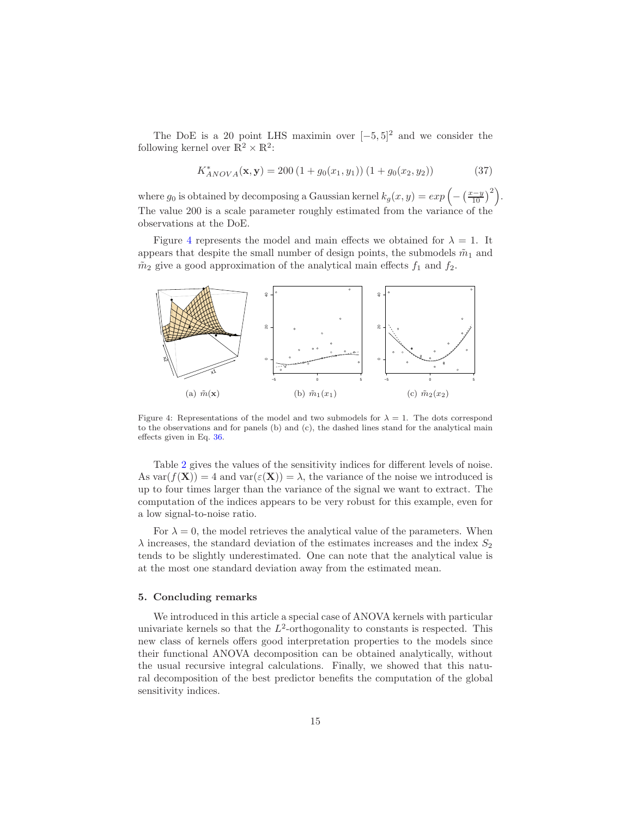The DoE is a 20 point LHS maximin over  $[-5, 5]^2$  and we consider the following kernel over  $\mathbb{R}^2 \times \mathbb{R}^2$ :

$$
K_{ANOVA}^*(\mathbf{x}, \mathbf{y}) = 200 (1 + g_0(x_1, y_1)) (1 + g_0(x_2, y_2))
$$
 (37)

where  $g_0$  is obtained by decomposing a Gaussian kernel  $k_g(x, y) = exp(-\left(\frac{x-y}{10}\right)^2)$ . The value 200 is a scale parameter roughly estimated from the variance of the observations at the DoE.

Figure [4](#page-14-0) represents the model and main effects we obtained for  $\lambda = 1$ . It appears that despite the small number of design points, the submodels  $\tilde{m}_1$  and  $\tilde{m}_2$  give a good approximation of the analytical main effects  $f_1$  and  $f_2$ .



<span id="page-14-0"></span>Figure 4: Representations of the model and two submodels for  $\lambda = 1$ . The dots correspond to the observations and for panels (b) and (c), the dashed lines stand for the analytical main effects given in Eq. [36.](#page-13-1)

Table [2](#page-15-3) gives the values of the sensitivity indices for different levels of noise. As  $var(f(\mathbf{X})) = 4$  and  $var(\varepsilon(\mathbf{X})) = \lambda$ , the variance of the noise we introduced is up to four times larger than the variance of the signal we want to extract. The computation of the indices appears to be very robust for this example, even for a low signal-to-noise ratio.

For  $\lambda = 0$ , the model retrieves the analytical value of the parameters. When  $\lambda$  increases, the standard deviation of the estimates increases and the index  $S_2$ tends to be slightly underestimated. One can note that the analytical value is at the most one standard deviation away from the estimated mean.

#### 5. Concluding remarks

We introduced in this article a special case of ANOVA kernels with particular univariate kernels so that the  $L^2$ -orthogonality to constants is respected. This new class of kernels offers good interpretation properties to the models since their functional ANOVA decomposition can be obtained analytically, without the usual recursive integral calculations. Finally, we showed that this natural decomposition of the best predictor benefits the computation of the global sensitivity indices.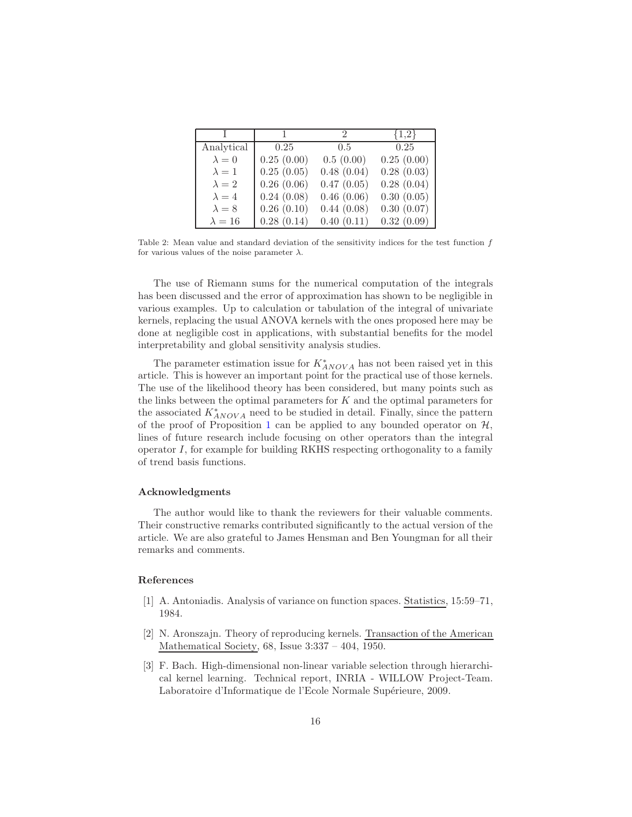| $\mathbf{I}$  | $\mathbf{1}$ | 2          | ${1,2}$    |
|---------------|--------------|------------|------------|
| Analytical    | 0.25         | 0.5        | 0.25       |
| $\lambda = 0$ | 0.25(0.00)   | 0.5(0.00)  | 0.25(0.00) |
| $\lambda = 1$ | 0.25(0.05)   | 0.48(0.04) | 0.28(0.03) |
| $\lambda = 2$ | 0.26(0.06)   | 0.47(0.05) | 0.28(0.04) |
| $\lambda = 4$ | 0.24(0.08)   | 0.46(0.06) | 0.30(0.05) |
| $\lambda = 8$ | 0.26(0.10)   | 0.44(0.08) | 0.30(0.07) |
| $\lambda=16$  | 0.28(0.14)   | 0.40(0.11) | 0.32(0.09) |

<span id="page-15-3"></span>Table 2: Mean value and standard deviation of the sensitivity indices for the test function f for various values of the noise parameter  $\lambda$ .

The use of Riemann sums for the numerical computation of the integrals has been discussed and the error of approximation has shown to be negligible in various examples. Up to calculation or tabulation of the integral of univariate kernels, replacing the usual ANOVA kernels with the ones proposed here may be done at negligible cost in applications, with substantial benefits for the model interpretability and global sensitivity analysis studies.

The parameter estimation issue for  $K^*_{ANOVA}$  has not been raised yet in this article. This is however an important point for the practical use of those kernels. The use of the likelihood theory has been considered, but many points such as the links between the optimal parameters for  $K$  and the optimal parameters for the associated  $K^*_{ANOVA}$  need to be studied in detail. Finally, since the pattern of the proof of Proposition [1](#page-6-1) can be applied to any bounded operator on  $H$ , lines of future research include focusing on other operators than the integral operator I, for example for building RKHS respecting orthogonality to a family of trend basis functions.

#### Acknowledgments

The author would like to thank the reviewers for their valuable comments. Their constructive remarks contributed significantly to the actual version of the article. We are also grateful to James Hensman and Ben Youngman for all their remarks and comments.

# References

- <span id="page-15-1"></span>[1] A. Antoniadis. Analysis of variance on function spaces. Statistics, 15:59–71, 1984.
- <span id="page-15-0"></span>[2] N. Aronszajn. Theory of reproducing kernels. Transaction of the American Mathematical Society, 68, Issue 3:337 – 404, 1950.
- <span id="page-15-2"></span>[3] F. Bach. High-dimensional non-linear variable selection through hierarchical kernel learning. Technical report, INRIA - WILLOW Project-Team. Laboratoire d'Informatique de l'Ecole Normale Supérieure, 2009.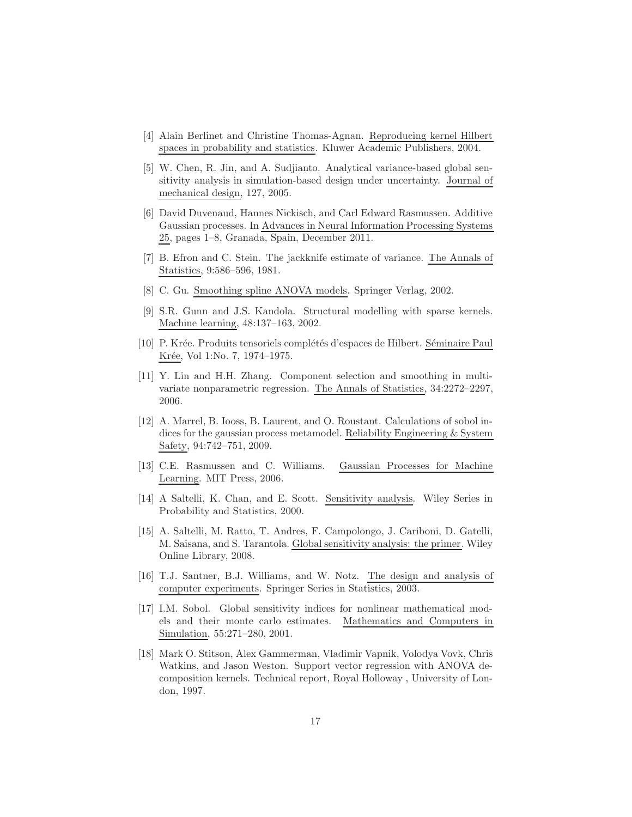- <span id="page-16-9"></span>[4] Alain Berlinet and Christine Thomas-Agnan. Reproducing kernel Hilbert spaces in probability and statistics. Kluwer Academic Publishers, 2004.
- <span id="page-16-13"></span>[5] W. Chen, R. Jin, and A. Sudjianto. Analytical variance-based global sensitivity analysis in simulation-based design under uncertainty. Journal of mechanical design, 127, 2005.
- <span id="page-16-10"></span>[6] David Duvenaud, Hannes Nickisch, and Carl Edward Rasmussen. Additive Gaussian processes. In Advances in Neural Information Processing Systems 25, pages 1–8, Granada, Spain, December 2011.
- <span id="page-16-4"></span>[7] B. Efron and C. Stein. The jackknife estimate of variance. The Annals of Statistics, 9:586–596, 1981.
- <span id="page-16-2"></span>[8] C. Gu. Smoothing spline ANOVA models. Springer Verlag, 2002.
- <span id="page-16-8"></span>[9] S.R. Gunn and J.S. Kandola. Structural modelling with sparse kernels. Machine learning, 48:137–163, 2002.
- <span id="page-16-3"></span>[10] P. Krée. Produits tensoriels complétés d'espaces de Hilbert. Séminaire Paul Krée, Vol 1:No. 7, 1974–1975.
- <span id="page-16-14"></span>[11] Y. Lin and H.H. Zhang. Component selection and smoothing in multivariate nonparametric regression. The Annals of Statistics, 34:2272–2297, 2006.
- <span id="page-16-0"></span>[12] A. Marrel, B. Iooss, B. Laurent, and O. Roustant. Calculations of sobol indices for the gaussian process metamodel. Reliability Engineering & System Safety, 94:742–751, 2009.
- <span id="page-16-6"></span>[13] C.E. Rasmussen and C. Williams. Gaussian Processes for Machine Learning. MIT Press, 2006.
- <span id="page-16-11"></span>[14] A Saltelli, K. Chan, and E. Scott. Sensitivity analysis. Wiley Series in Probability and Statistics, 2000.
- <span id="page-16-1"></span>[15] A. Saltelli, M. Ratto, T. Andres, F. Campolongo, J. Cariboni, D. Gatelli, M. Saisana, and S. Tarantola. Global sensitivity analysis: the primer. Wiley Online Library, 2008.
- <span id="page-16-12"></span>[16] T.J. Santner, B.J. Williams, and W. Notz. The design and analysis of computer experiments. Springer Series in Statistics, 2003.
- <span id="page-16-5"></span>[17] I.M. Sobol. Global sensitivity indices for nonlinear mathematical models and their monte carlo estimates. Mathematics and Computers in Simulation, 55:271–280, 2001.
- <span id="page-16-7"></span>[18] Mark O. Stitson, Alex Gammerman, Vladimir Vapnik, Volodya Vovk, Chris Watkins, and Jason Weston. Support vector regression with ANOVA decomposition kernels. Technical report, Royal Holloway , University of London, 1997.